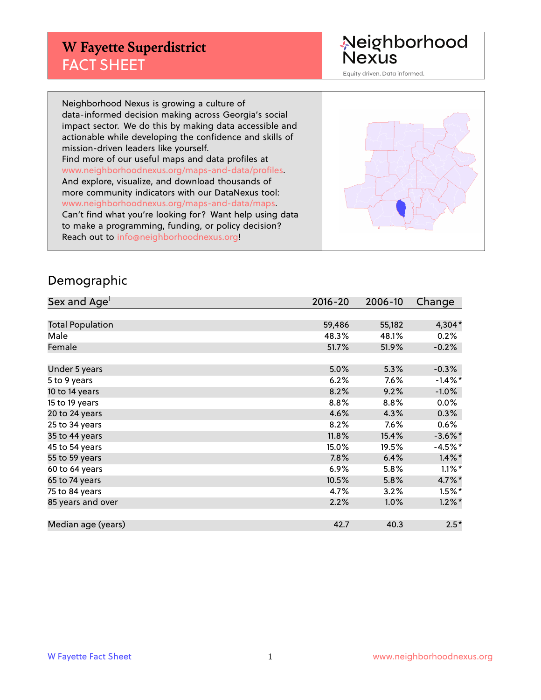## **W Fayette Superdistrict** FACT SHEET

Neighborhood<br>Nexus

Equity driven. Data informed.

Neighborhood Nexus is growing a culture of data-informed decision making across Georgia's social impact sector. We do this by making data accessible and actionable while developing the confidence and skills of mission-driven leaders like yourself. Find more of our useful maps and data profiles at www.neighborhoodnexus.org/maps-and-data/profiles. And explore, visualize, and download thousands of more community indicators with our DataNexus tool: www.neighborhoodnexus.org/maps-and-data/maps. Can't find what you're looking for? Want help using data to make a programming, funding, or policy decision? Reach out to [info@neighborhoodnexus.org!](mailto:info@neighborhoodnexus.org)



#### Demographic

| Sex and Age <sup>1</sup> | $2016 - 20$ | 2006-10 | Change     |
|--------------------------|-------------|---------|------------|
|                          |             |         |            |
| <b>Total Population</b>  | 59,486      | 55,182  | 4,304*     |
| Male                     | 48.3%       | 48.1%   | 0.2%       |
| Female                   | 51.7%       | 51.9%   | $-0.2%$    |
|                          |             |         |            |
| Under 5 years            | 5.0%        | 5.3%    | $-0.3%$    |
| 5 to 9 years             | 6.2%        | $7.6\%$ | $-1.4\%$ * |
| 10 to 14 years           | 8.2%        | 9.2%    | $-1.0\%$   |
| 15 to 19 years           | 8.8%        | 8.8%    | 0.0%       |
| 20 to 24 years           | 4.6%        | 4.3%    | 0.3%       |
| 25 to 34 years           | 8.2%        | $7.6\%$ | 0.6%       |
| 35 to 44 years           | 11.8%       | 15.4%   | $-3.6\%$ * |
| 45 to 54 years           | 15.0%       | 19.5%   | $-4.5%$ *  |
| 55 to 59 years           | 7.8%        | 6.4%    | $1.4\%$ *  |
| 60 to 64 years           | 6.9%        | 5.8%    | $1.1\%$ *  |
| 65 to 74 years           | 10.5%       | 5.8%    | 4.7%*      |
| 75 to 84 years           | 4.7%        | 3.2%    | $1.5\%$ *  |
| 85 years and over        | 2.2%        | 1.0%    | $1.2\%$ *  |
|                          |             |         |            |
| Median age (years)       | 42.7        | 40.3    | $2.5*$     |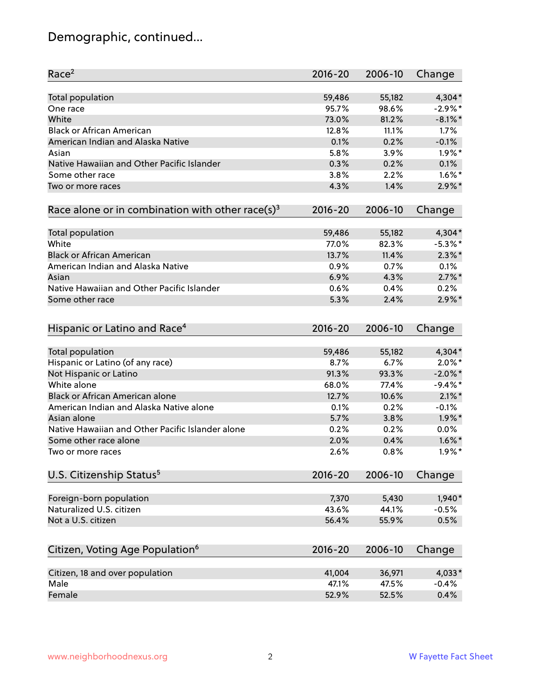# Demographic, continued...

| Race <sup>2</sup>                                            | $2016 - 20$ | 2006-10 | Change     |
|--------------------------------------------------------------|-------------|---------|------------|
| <b>Total population</b>                                      | 59,486      | 55,182  | 4,304*     |
| One race                                                     | 95.7%       | 98.6%   | $-2.9%$ *  |
| White                                                        | 73.0%       | 81.2%   | $-8.1\%$ * |
| <b>Black or African American</b>                             | 12.8%       | 11.1%   | 1.7%       |
| American Indian and Alaska Native                            | 0.1%        | 0.2%    | $-0.1%$    |
| Asian                                                        | 5.8%        | 3.9%    | $1.9\%$ *  |
| Native Hawaiian and Other Pacific Islander                   | 0.3%        | 0.2%    | 0.1%       |
| Some other race                                              | 3.8%        | 2.2%    | $1.6\%$ *  |
| Two or more races                                            | 4.3%        | 1.4%    | $2.9\%$ *  |
| Race alone or in combination with other race(s) <sup>3</sup> | $2016 - 20$ | 2006-10 | Change     |
| <b>Total population</b>                                      | 59,486      | 55,182  | 4,304*     |
| White                                                        | 77.0%       | 82.3%   | $-5.3\%$ * |
| <b>Black or African American</b>                             | 13.7%       | 11.4%   | $2.3\%$ *  |
| American Indian and Alaska Native                            | 0.9%        | 0.7%    | 0.1%       |
| Asian                                                        | 6.9%        | 4.3%    | $2.7\%$ *  |
| Native Hawaiian and Other Pacific Islander                   | 0.6%        | 0.4%    | 0.2%       |
| Some other race                                              | 5.3%        | 2.4%    | $2.9\%$ *  |
|                                                              |             |         |            |
| Hispanic or Latino and Race <sup>4</sup>                     | $2016 - 20$ | 2006-10 | Change     |
| Total population                                             | 59,486      | 55,182  | 4,304*     |
| Hispanic or Latino (of any race)                             | 8.7%        | 6.7%    | $2.0\%$ *  |
| Not Hispanic or Latino                                       | 91.3%       | 93.3%   | $-2.0\%$ * |
| White alone                                                  | 68.0%       | 77.4%   | $-9.4\%$ * |
| Black or African American alone                              | 12.7%       | 10.6%   | $2.1\%$ *  |
| American Indian and Alaska Native alone                      | 0.1%        | 0.2%    | $-0.1%$    |
| Asian alone                                                  | 5.7%        | 3.8%    | $1.9\%$ *  |
| Native Hawaiian and Other Pacific Islander alone             | 0.2%        | 0.2%    | 0.0%       |
| Some other race alone                                        | 2.0%        | 0.4%    | $1.6\%$ *  |
| Two or more races                                            | 2.6%        | 0.8%    | $1.9\%$ *  |
| U.S. Citizenship Status <sup>5</sup>                         | 2016-20     | 2006-10 | Change     |
|                                                              |             |         |            |
| Foreign-born population                                      | 7,370       | 5,430   | 1,940*     |
| Naturalized U.S. citizen                                     | 43.6%       | 44.1%   | $-0.5%$    |
| Not a U.S. citizen                                           | 56.4%       | 55.9%   | 0.5%       |
| Citizen, Voting Age Population <sup>6</sup>                  | 2016-20     | 2006-10 | Change     |
| Citizen, 18 and over population                              | 41,004      | 36,971  | 4,033*     |
| Male                                                         | 47.1%       | 47.5%   | $-0.4%$    |
| Female                                                       | 52.9%       | 52.5%   | 0.4%       |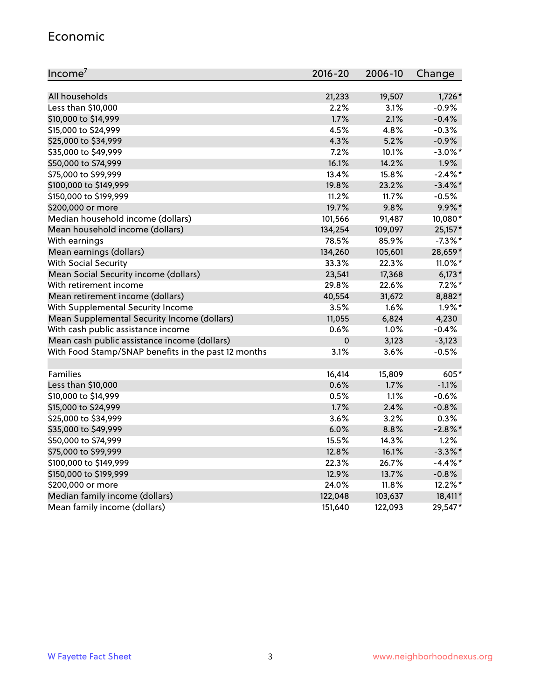#### Economic

| Income <sup>7</sup>                                 | $2016 - 20$ | 2006-10 | Change     |
|-----------------------------------------------------|-------------|---------|------------|
|                                                     |             |         |            |
| All households                                      | 21,233      | 19,507  | $1,726*$   |
| Less than \$10,000                                  | 2.2%        | 3.1%    | $-0.9%$    |
| \$10,000 to \$14,999                                | 1.7%        | 2.1%    | $-0.4%$    |
| \$15,000 to \$24,999                                | 4.5%        | 4.8%    | $-0.3%$    |
| \$25,000 to \$34,999                                | 4.3%        | 5.2%    | $-0.9%$    |
| \$35,000 to \$49,999                                | 7.2%        | 10.1%   | $-3.0\%$ * |
| \$50,000 to \$74,999                                | 16.1%       | 14.2%   | 1.9%       |
| \$75,000 to \$99,999                                | 13.4%       | 15.8%   | $-2.4\%$ * |
| \$100,000 to \$149,999                              | 19.8%       | 23.2%   | $-3.4\%$ * |
| \$150,000 to \$199,999                              | 11.2%       | 11.7%   | $-0.5%$    |
| \$200,000 or more                                   | 19.7%       | 9.8%    | $9.9\%$ *  |
| Median household income (dollars)                   | 101,566     | 91,487  | 10,080*    |
| Mean household income (dollars)                     | 134,254     | 109,097 | 25,157*    |
| With earnings                                       | 78.5%       | 85.9%   | $-7.3\%$ * |
| Mean earnings (dollars)                             | 134,260     | 105,601 | 28,659*    |
| <b>With Social Security</b>                         | 33.3%       | 22.3%   | $11.0\%$ * |
| Mean Social Security income (dollars)               | 23,541      | 17,368  | $6,173*$   |
| With retirement income                              | 29.8%       | 22.6%   | $7.2\%$ *  |
| Mean retirement income (dollars)                    | 40,554      | 31,672  | 8,882*     |
| With Supplemental Security Income                   | 3.5%        | $1.6\%$ | $1.9\%$ *  |
| Mean Supplemental Security Income (dollars)         | 11,055      | 6,824   | 4,230      |
| With cash public assistance income                  | 0.6%        | 1.0%    | $-0.4%$    |
| Mean cash public assistance income (dollars)        | $\mathbf 0$ | 3,123   | $-3,123$   |
| With Food Stamp/SNAP benefits in the past 12 months | 3.1%        | 3.6%    | $-0.5%$    |
|                                                     |             |         |            |
| Families                                            | 16,414      | 15,809  | 605*       |
| Less than \$10,000                                  | 0.6%        | $1.7\%$ | $-1.1%$    |
| \$10,000 to \$14,999                                | 0.5%        | 1.1%    | $-0.6%$    |
| \$15,000 to \$24,999                                | 1.7%        | 2.4%    | $-0.8%$    |
| \$25,000 to \$34,999                                | 3.6%        | 3.2%    | 0.3%       |
| \$35,000 to \$49,999                                | 6.0%        | 8.8%    | $-2.8\%$ * |
| \$50,000 to \$74,999                                | 15.5%       | 14.3%   | 1.2%       |
| \$75,000 to \$99,999                                | 12.8%       | 16.1%   | $-3.3\%$ * |
| \$100,000 to \$149,999                              | 22.3%       | 26.7%   | $-4.4\%$ * |
| \$150,000 to \$199,999                              | 12.9%       | 13.7%   | $-0.8%$    |
| \$200,000 or more                                   | 24.0%       | 11.8%   | 12.2%*     |
| Median family income (dollars)                      | 122,048     | 103,637 | 18,411*    |
| Mean family income (dollars)                        | 151,640     | 122,093 | 29,547*    |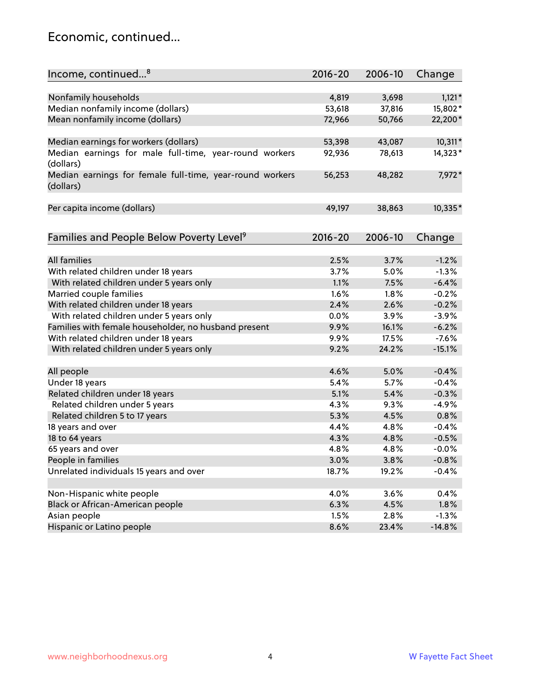#### Economic, continued...

| Income, continued <sup>8</sup>                                        | $2016 - 20$ | 2006-10 | Change   |
|-----------------------------------------------------------------------|-------------|---------|----------|
|                                                                       |             |         |          |
| Nonfamily households                                                  | 4,819       | 3,698   | $1,121*$ |
| Median nonfamily income (dollars)                                     | 53,618      | 37,816  | 15,802*  |
| Mean nonfamily income (dollars)                                       | 72,966      | 50,766  | 22,200*  |
|                                                                       |             |         |          |
| Median earnings for workers (dollars)                                 | 53,398      | 43,087  | 10,311*  |
| Median earnings for male full-time, year-round workers<br>(dollars)   | 92,936      | 78,613  | 14,323*  |
| Median earnings for female full-time, year-round workers<br>(dollars) | 56,253      | 48,282  | 7,972*   |
| Per capita income (dollars)                                           | 49,197      | 38,863  | 10,335*  |
|                                                                       |             |         |          |
| Families and People Below Poverty Level <sup>9</sup>                  | $2016 - 20$ | 2006-10 | Change   |
|                                                                       |             |         |          |
| <b>All families</b>                                                   | 2.5%        | 3.7%    | $-1.2%$  |
| With related children under 18 years                                  | 3.7%        | 5.0%    | $-1.3%$  |
| With related children under 5 years only                              | 1.1%        | 7.5%    | $-6.4%$  |
| Married couple families                                               | 1.6%        | 1.8%    | $-0.2%$  |
| With related children under 18 years                                  | 2.4%        | 2.6%    | $-0.2%$  |
| With related children under 5 years only                              | 0.0%        | 3.9%    | $-3.9%$  |
| Families with female householder, no husband present                  | 9.9%        | 16.1%   | $-6.2%$  |
| With related children under 18 years                                  | 9.9%        | 17.5%   | $-7.6%$  |
| With related children under 5 years only                              | 9.2%        | 24.2%   | $-15.1%$ |
|                                                                       |             |         |          |
| All people                                                            | 4.6%        | 5.0%    | $-0.4%$  |
| Under 18 years                                                        | 5.4%        | 5.7%    | $-0.4%$  |
| Related children under 18 years                                       | 5.1%        | 5.4%    | $-0.3%$  |
| Related children under 5 years                                        | 4.3%        | 9.3%    | $-4.9%$  |
| Related children 5 to 17 years                                        | 5.3%        | 4.5%    | 0.8%     |
| 18 years and over                                                     | 4.4%        | 4.8%    | $-0.4%$  |
| 18 to 64 years                                                        | 4.3%        | 4.8%    | $-0.5%$  |
| 65 years and over                                                     | 4.8%        | 4.8%    | $-0.0%$  |
| People in families                                                    | 3.0%        | 3.8%    | $-0.8%$  |
| Unrelated individuals 15 years and over                               | 18.7%       | 19.2%   | $-0.4%$  |
|                                                                       |             |         |          |
| Non-Hispanic white people                                             | 4.0%        | 3.6%    | 0.4%     |
| Black or African-American people                                      | 6.3%        | 4.5%    | 1.8%     |
| Asian people                                                          | 1.5%        | 2.8%    | $-1.3%$  |
| Hispanic or Latino people                                             | 8.6%        | 23.4%   | $-14.8%$ |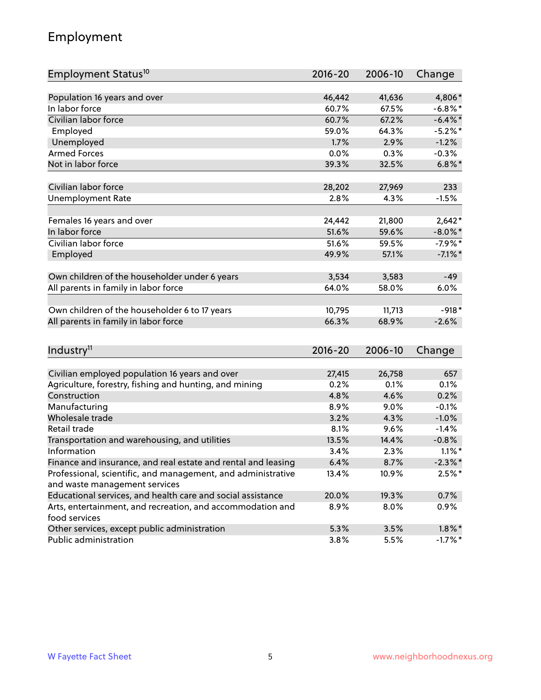## Employment

| Employment Status <sup>10</sup>                                                               | $2016 - 20$ | 2006-10 | Change     |
|-----------------------------------------------------------------------------------------------|-------------|---------|------------|
|                                                                                               |             |         |            |
| Population 16 years and over                                                                  | 46,442      | 41,636  | 4,806*     |
| In labor force                                                                                | 60.7%       | 67.5%   | $-6.8\%$ * |
| Civilian labor force                                                                          | 60.7%       | 67.2%   | $-6.4\%$ * |
| Employed                                                                                      | 59.0%       | 64.3%   | $-5.2%$ *  |
| Unemployed                                                                                    | 1.7%        | 2.9%    | $-1.2%$    |
| <b>Armed Forces</b>                                                                           | 0.0%        | 0.3%    | $-0.3%$    |
| Not in labor force                                                                            | 39.3%       | 32.5%   | $6.8\%$ *  |
| Civilian labor force                                                                          | 28,202      | 27,969  | 233        |
|                                                                                               | 2.8%        | 4.3%    | $-1.5%$    |
| <b>Unemployment Rate</b>                                                                      |             |         |            |
| Females 16 years and over                                                                     | 24,442      | 21,800  | $2,642*$   |
| In labor force                                                                                | 51.6%       | 59.6%   | $-8.0\%$ * |
| Civilian labor force                                                                          | 51.6%       | 59.5%   | $-7.9%$ *  |
| Employed                                                                                      | 49.9%       | 57.1%   | $-7.1\%$ * |
|                                                                                               |             |         |            |
| Own children of the householder under 6 years                                                 | 3,534       | 3,583   | $-49$      |
| All parents in family in labor force                                                          | 64.0%       | 58.0%   | 6.0%       |
| Own children of the householder 6 to 17 years                                                 | 10,795      | 11,713  | $-918*$    |
| All parents in family in labor force                                                          | 66.3%       | 68.9%   | $-2.6%$    |
|                                                                                               |             |         |            |
| Industry <sup>11</sup>                                                                        | 2016-20     | 2006-10 | Change     |
|                                                                                               |             |         |            |
| Civilian employed population 16 years and over                                                | 27,415      | 26,758  | 657        |
| Agriculture, forestry, fishing and hunting, and mining                                        | 0.2%        | 0.1%    | 0.1%       |
| Construction                                                                                  | 4.8%        | 4.6%    | 0.2%       |
| Manufacturing                                                                                 | 8.9%        | 9.0%    | $-0.1%$    |
| Wholesale trade                                                                               | 3.2%        | 4.3%    | $-1.0%$    |
| Retail trade                                                                                  | 8.1%        | 9.6%    | $-1.4%$    |
| Transportation and warehousing, and utilities                                                 | 13.5%       | 14.4%   | $-0.8%$    |
| Information                                                                                   | 3.4%        | 2.3%    | $1.1\%$ *  |
| Finance and insurance, and real estate and rental and leasing                                 | 6.4%        | 8.7%    | $-2.3\%$ * |
| Professional, scientific, and management, and administrative<br>and waste management services | 13.4%       | 10.9%   | $2.5%$ *   |
| Educational services, and health care and social assistance                                   | 20.0%       | 19.3%   | 0.7%       |
| Arts, entertainment, and recreation, and accommodation and                                    | 8.9%        | 8.0%    | 0.9%       |
| food services                                                                                 |             |         |            |
| Other services, except public administration                                                  | 5.3%        | 3.5%    | $1.8\%$ *  |
| Public administration                                                                         | 3.8%        | 5.5%    | $-1.7%$ *  |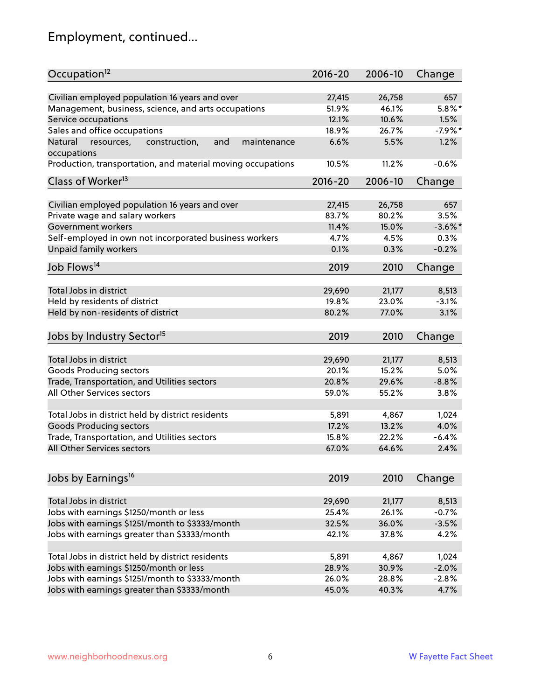# Employment, continued...

| Occupation <sup>12</sup>                                                    | $2016 - 20$     | 2006-10         | Change     |
|-----------------------------------------------------------------------------|-----------------|-----------------|------------|
| Civilian employed population 16 years and over                              |                 |                 | 657        |
|                                                                             | 27,415<br>51.9% | 26,758<br>46.1% | $5.8\%$ *  |
| Management, business, science, and arts occupations<br>Service occupations  | 12.1%           | 10.6%           | 1.5%       |
|                                                                             |                 |                 | $-7.9%$ *  |
| Sales and office occupations                                                | 18.9%           | 26.7%           |            |
| Natural<br>and<br>resources,<br>construction,<br>maintenance<br>occupations | 6.6%            | 5.5%            | 1.2%       |
| Production, transportation, and material moving occupations                 | 10.5%           | 11.2%           | $-0.6%$    |
| Class of Worker <sup>13</sup>                                               | $2016 - 20$     | 2006-10         | Change     |
|                                                                             |                 |                 |            |
| Civilian employed population 16 years and over                              | 27,415          | 26,758          | 657        |
| Private wage and salary workers                                             | 83.7%           | 80.2%           | 3.5%       |
| Government workers                                                          | 11.4%           | 15.0%           | $-3.6\%$ * |
| Self-employed in own not incorporated business workers                      | 4.7%            | 4.5%            | 0.3%       |
| Unpaid family workers                                                       | 0.1%            | 0.3%            | $-0.2%$    |
| Job Flows <sup>14</sup>                                                     | 2019            | 2010            | Change     |
|                                                                             |                 |                 |            |
| Total Jobs in district                                                      | 29,690          | 21,177          | 8,513      |
| Held by residents of district                                               | 19.8%           | 23.0%           | $-3.1%$    |
| Held by non-residents of district                                           | 80.2%           | 77.0%           | 3.1%       |
| Jobs by Industry Sector <sup>15</sup>                                       | 2019            | 2010            | Change     |
|                                                                             |                 |                 |            |
| Total Jobs in district                                                      | 29,690          | 21,177          | 8,513      |
| Goods Producing sectors                                                     | 20.1%           | 15.2%           | 5.0%       |
| Trade, Transportation, and Utilities sectors                                | 20.8%           | 29.6%           | $-8.8%$    |
| All Other Services sectors                                                  | 59.0%           | 55.2%           | 3.8%       |
|                                                                             |                 |                 |            |
| Total Jobs in district held by district residents                           | 5,891           | 4,867           | 1,024      |
| <b>Goods Producing sectors</b>                                              | 17.2%           | 13.2%           | 4.0%       |
| Trade, Transportation, and Utilities sectors                                | 15.8%           | 22.2%           | $-6.4%$    |
| All Other Services sectors                                                  | 67.0%           | 64.6%           | 2.4%       |
|                                                                             |                 |                 |            |
| Jobs by Earnings <sup>16</sup>                                              | 2019            | 2010            | Change     |
|                                                                             |                 |                 |            |
| Total Jobs in district                                                      | 29,690          | 21,177          | 8,513      |
| Jobs with earnings \$1250/month or less                                     | 25.4%           | 26.1%           | $-0.7%$    |
| Jobs with earnings \$1251/month to \$3333/month                             | 32.5%           | 36.0%           | $-3.5%$    |
| Jobs with earnings greater than \$3333/month                                | 42.1%           | 37.8%           | 4.2%       |
| Total Jobs in district held by district residents                           | 5,891           | 4,867           | 1,024      |
| Jobs with earnings \$1250/month or less                                     | 28.9%           | 30.9%           | $-2.0%$    |
| Jobs with earnings \$1251/month to \$3333/month                             | 26.0%           |                 |            |
|                                                                             |                 | 28.8%           | $-2.8%$    |
| Jobs with earnings greater than \$3333/month                                | 45.0%           | 40.3%           | 4.7%       |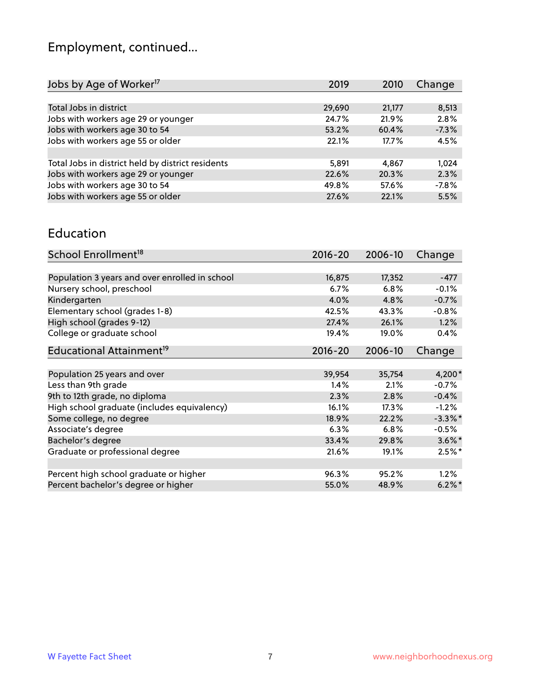# Employment, continued...

| 2019   | 2010     | Change  |
|--------|----------|---------|
|        |          |         |
| 29,690 | 21,177   | 8,513   |
| 24.7%  | 21.9%    | 2.8%    |
| 53.2%  | 60.4%    | $-7.3%$ |
| 22.1%  | $17.7\%$ | 4.5%    |
|        |          |         |
| 5,891  | 4.867    | 1,024   |
| 22.6%  | 20.3%    | 2.3%    |
| 49.8%  | 57.6%    | $-7.8%$ |
| 27.6%  | 22.1%    | 5.5%    |
|        |          |         |

#### Education

| School Enrollment <sup>18</sup>                | $2016 - 20$ | 2006-10  | Change     |
|------------------------------------------------|-------------|----------|------------|
|                                                |             |          |            |
| Population 3 years and over enrolled in school | 16,875      | 17,352   | $-477$     |
| Nursery school, preschool                      | 6.7%        | 6.8%     | $-0.1%$    |
| Kindergarten                                   | 4.0%        | 4.8%     | $-0.7%$    |
| Elementary school (grades 1-8)                 | 42.5%       | 43.3%    | $-0.8%$    |
| High school (grades 9-12)                      | 27.4%       | 26.1%    | 1.2%       |
| College or graduate school                     | 19.4%       | 19.0%    | 0.4%       |
| Educational Attainment <sup>19</sup>           | $2016 - 20$ | 2006-10  | Change     |
|                                                |             |          |            |
| Population 25 years and over                   | 39,954      | 35,754   | 4,200*     |
| Less than 9th grade                            | 1.4%        | 2.1%     | $-0.7%$    |
| 9th to 12th grade, no diploma                  | 2.3%        | 2.8%     | $-0.4%$    |
| High school graduate (includes equivalency)    | 16.1%       | $17.3\%$ | $-1.2%$    |
| Some college, no degree                        | 18.9%       | 22.2%    | $-3.3\%$ * |
| Associate's degree                             | 6.3%        | 6.8%     | $-0.5%$    |
| Bachelor's degree                              | 33.4%       | 29.8%    | $3.6\%$ *  |
| Graduate or professional degree                | 21.6%       | 19.1%    | $2.5%$ *   |
|                                                |             |          |            |
| Percent high school graduate or higher         | 96.3%       | 95.2%    | 1.2%       |
| Percent bachelor's degree or higher            | 55.0%       | 48.9%    | $6.2\%$ *  |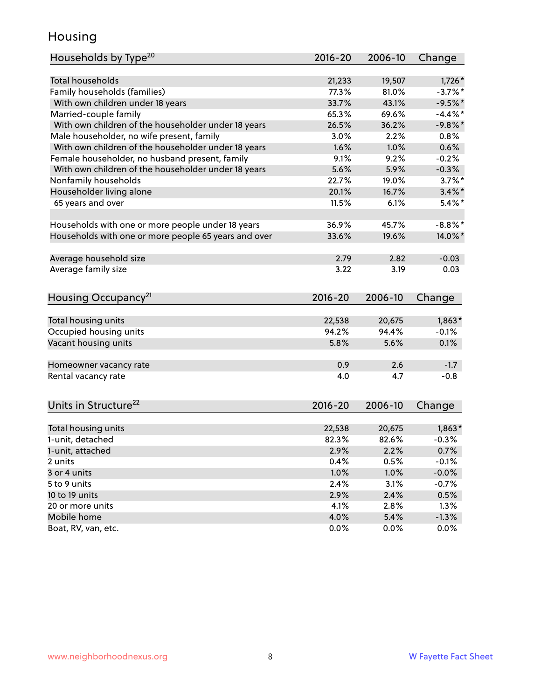## Housing

| Households by Type <sup>20</sup>                     | 2016-20      | 2006-10      | Change     |
|------------------------------------------------------|--------------|--------------|------------|
|                                                      |              |              |            |
| Total households                                     | 21,233       | 19,507       | $1,726*$   |
| Family households (families)                         | 77.3%        | 81.0%        | $-3.7%$ *  |
| With own children under 18 years                     | 33.7%        | 43.1%        | $-9.5%$ *  |
| Married-couple family                                | 65.3%        | 69.6%        | $-4.4\%$ * |
| With own children of the householder under 18 years  | 26.5%        | 36.2%        | $-9.8%$ *  |
| Male householder, no wife present, family            | 3.0%         | 2.2%         | 0.8%       |
| With own children of the householder under 18 years  | 1.6%         | 1.0%         | 0.6%       |
| Female householder, no husband present, family       | 9.1%         | 9.2%         | $-0.2%$    |
| With own children of the householder under 18 years  | 5.6%         | 5.9%         | $-0.3%$    |
| Nonfamily households                                 | 22.7%        | 19.0%        | $3.7\%$ *  |
| Householder living alone                             | 20.1%        | 16.7%        | $3.4\%$ *  |
| 65 years and over                                    | 11.5%        | 6.1%         | $5.4\%$ *  |
| Households with one or more people under 18 years    | 36.9%        | 45.7%        | $-8.8\%$ * |
| Households with one or more people 65 years and over | 33.6%        | 19.6%        | 14.0%*     |
| Average household size                               | 2.79         | 2.82         | $-0.03$    |
| Average family size                                  | 3.22         | 3.19         | 0.03       |
|                                                      |              |              |            |
| Housing Occupancy <sup>21</sup>                      | $2016 - 20$  | 2006-10      | Change     |
| Total housing units                                  | 22,538       | 20,675       | $1,863*$   |
| Occupied housing units                               | 94.2%        | 94.4%        | $-0.1%$    |
| Vacant housing units                                 | 5.8%         | 5.6%         | 0.1%       |
|                                                      |              |              |            |
| Homeowner vacancy rate                               | 0.9          | 2.6          | $-1.7$     |
| Rental vacancy rate                                  | 4.0          | 4.7          | $-0.8$     |
| Units in Structure <sup>22</sup>                     | 2016-20      | 2006-10      | Change     |
| Total housing units                                  | 22,538       | 20,675       | $1,863*$   |
| 1-unit, detached                                     | 82.3%        | 82.6%        | $-0.3%$    |
| 1-unit, attached                                     |              |              | 0.7%       |
| 2 units                                              | 2.9%<br>0.4% | 2.2%<br>0.5% | $-0.1%$    |
| 3 or 4 units                                         |              | 1.0%         |            |
| 5 to 9 units                                         | 1.0%         |              | $-0.0%$    |
|                                                      | 2.4%         | 3.1%         | $-0.7%$    |
| 10 to 19 units                                       | 2.9%         | 2.4%         | 0.5%       |
| 20 or more units                                     | 4.1%         | 2.8%         | 1.3%       |
| Mobile home                                          | 4.0%         | 5.4%         | $-1.3%$    |
| Boat, RV, van, etc.                                  | 0.0%         | $0.0\%$      | 0.0%       |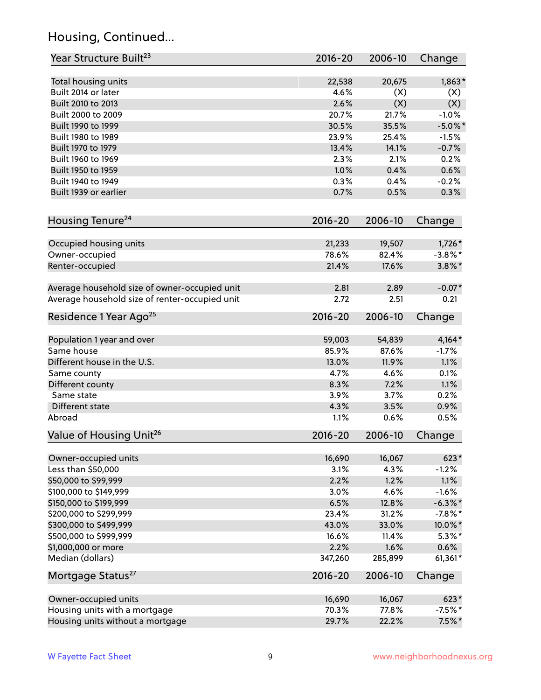## Housing, Continued...

| Year Structure Built <sup>23</sup>             | 2016-20     | 2006-10 | Change     |
|------------------------------------------------|-------------|---------|------------|
| Total housing units                            | 22,538      | 20,675  | $1,863*$   |
| Built 2014 or later                            | 4.6%        | (X)     | (X)        |
| Built 2010 to 2013                             | 2.6%        | (X)     | (X)        |
| Built 2000 to 2009                             | 20.7%       | 21.7%   | $-1.0%$    |
| Built 1990 to 1999                             | 30.5%       | 35.5%   | $-5.0\%$ * |
| Built 1980 to 1989                             | 23.9%       | 25.4%   | $-1.5%$    |
| Built 1970 to 1979                             | 13.4%       | 14.1%   | $-0.7%$    |
| Built 1960 to 1969                             | 2.3%        | 2.1%    | 0.2%       |
| Built 1950 to 1959                             | 1.0%        | 0.4%    | 0.6%       |
| Built 1940 to 1949                             | 0.3%        | 0.4%    | $-0.2%$    |
| Built 1939 or earlier                          | 0.7%        | 0.5%    | 0.3%       |
|                                                |             |         |            |
| Housing Tenure <sup>24</sup>                   | $2016 - 20$ | 2006-10 | Change     |
| Occupied housing units                         | 21,233      | 19,507  | $1,726*$   |
| Owner-occupied                                 | 78.6%       | 82.4%   | $-3.8\%$ * |
| Renter-occupied                                | 21.4%       | 17.6%   | $3.8\%$ *  |
| Average household size of owner-occupied unit  | 2.81        | 2.89    | $-0.07*$   |
| Average household size of renter-occupied unit | 2.72        | 2.51    | 0.21       |
| Residence 1 Year Ago <sup>25</sup>             | $2016 - 20$ | 2006-10 | Change     |
|                                                |             |         |            |
| Population 1 year and over                     | 59,003      | 54,839  | $4,164*$   |
| Same house                                     | 85.9%       | 87.6%   | $-1.7%$    |
| Different house in the U.S.                    | 13.0%       | 11.9%   | 1.1%       |
| Same county                                    | 4.7%        | 4.6%    | 0.1%       |
| Different county                               | 8.3%        | 7.2%    | 1.1%       |
| Same state                                     | 3.9%        | 3.7%    | 0.2%       |
| Different state                                | 4.3%        | 3.5%    | 0.9%       |
| Abroad                                         | 1.1%        | 0.6%    | 0.5%       |
| Value of Housing Unit <sup>26</sup>            | $2016 - 20$ | 2006-10 | Change     |
| Owner-occupied units                           | 16,690      | 16,067  | 623*       |
| Less than \$50,000                             | 3.1%        | 4.3%    | $-1.2%$    |
| \$50,000 to \$99,999                           | 2.2%        | 1.2%    | 1.1%       |
| \$100,000 to \$149,999                         | 3.0%        | 4.6%    | $-1.6%$    |
| \$150,000 to \$199,999                         | 6.5%        | 12.8%   | $-6.3\%$ * |
| \$200,000 to \$299,999                         | 23.4%       | 31.2%   | $-7.8%$ *  |
| \$300,000 to \$499,999                         | 43.0%       | 33.0%   | 10.0%*     |
| \$500,000 to \$999,999                         | 16.6%       | 11.4%   | $5.3\%$ *  |
| \$1,000,000 or more                            | 2.2%        | 1.6%    | 0.6%       |
| Median (dollars)                               | 347,260     | 285,899 | $61,361*$  |
| Mortgage Status <sup>27</sup>                  | $2016 - 20$ | 2006-10 | Change     |
| Owner-occupied units                           | 16,690      | 16,067  | 623*       |
| Housing units with a mortgage                  | 70.3%       | 77.8%   | $-7.5%$ *  |
| Housing units without a mortgage               | 29.7%       | 22.2%   | $7.5\%$ *  |
|                                                |             |         |            |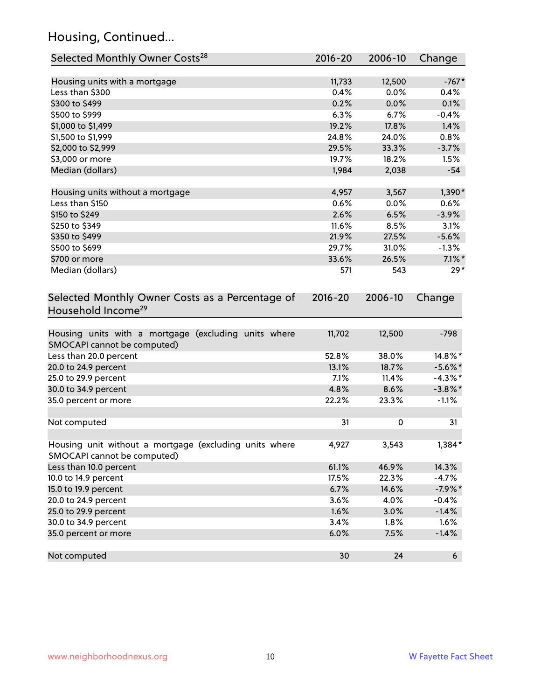## Housing, Continued...

| Selected Monthly Owner Costs <sup>28</sup>                                            | 2016-20     | 2006-10 | Change     |
|---------------------------------------------------------------------------------------|-------------|---------|------------|
| Housing units with a mortgage                                                         | 11,733      | 12,500  | $-767*$    |
| Less than \$300                                                                       | 0.4%        | 0.0%    | 0.4%       |
| \$300 to \$499                                                                        | 0.2%        | 0.0%    | 0.1%       |
| \$500 to \$999                                                                        | 6.3%        | 6.7%    | $-0.4%$    |
| \$1,000 to \$1,499                                                                    | 19.2%       | 17.8%   | 1.4%       |
| \$1,500 to \$1,999                                                                    | 24.8%       | 24.0%   | 0.8%       |
| \$2,000 to \$2,999                                                                    | 29.5%       | 33.3%   | $-3.7%$    |
| \$3,000 or more                                                                       | 19.7%       | 18.2%   | 1.5%       |
| Median (dollars)                                                                      | 1,984       | 2,038   | $-54$      |
| Housing units without a mortgage                                                      | 4,957       | 3,567   | $1,390*$   |
| Less than \$150                                                                       | 0.6%        | 0.0%    | 0.6%       |
| \$150 to \$249                                                                        | 2.6%        | 6.5%    | $-3.9%$    |
| \$250 to \$349                                                                        | 11.6%       | 8.5%    | 3.1%       |
| \$350 to \$499                                                                        | 21.9%       | 27.5%   | $-5.6%$    |
| \$500 to \$699                                                                        | 29.7%       | 31.0%   | $-1.3%$    |
| \$700 or more                                                                         | 33.6%       | 26.5%   | $7.1\%$ *  |
| Median (dollars)                                                                      | 571         | 543     | $29*$      |
| Selected Monthly Owner Costs as a Percentage of<br>Household Income <sup>29</sup>     | $2016 - 20$ | 2006-10 | Change     |
| Housing units with a mortgage (excluding units where<br>SMOCAPI cannot be computed)   | 11,702      | 12,500  | $-798$     |
| Less than 20.0 percent                                                                | 52.8%       | 38.0%   | 14.8%*     |
| 20.0 to 24.9 percent                                                                  | 13.1%       | 18.7%   | $-5.6\%$ * |
| 25.0 to 29.9 percent                                                                  | 7.1%        | 11.4%   | $-4.3\%$ * |
| 30.0 to 34.9 percent                                                                  | 4.8%        | 8.6%    | $-3.8\%$ * |
| 35.0 percent or more                                                                  | 22.2%       | 23.3%   | $-1.1%$    |
| Not computed                                                                          | 31          | 0       | 31         |
| Housing unit without a mortgage (excluding units where<br>SMOCAPI cannot be computed) | 4,927       | 3,543   | $1,384*$   |
| Less than 10.0 percent                                                                | 61.1%       | 46.9%   | 14.3%      |
| 10.0 to 14.9 percent                                                                  | 17.5%       | 22.3%   | $-4.7%$    |
| 15.0 to 19.9 percent                                                                  | 6.7%        | 14.6%   | $-7.9\%$ * |
| 20.0 to 24.9 percent                                                                  | 3.6%        | 4.0%    | $-0.4%$    |
| 25.0 to 29.9 percent                                                                  | 1.6%        | 3.0%    | $-1.4%$    |
| 30.0 to 34.9 percent                                                                  | 3.4%        | 1.8%    | 1.6%       |
| 35.0 percent or more                                                                  | 6.0%        | 7.5%    | $-1.4%$    |
| Not computed                                                                          | 30          | 24      | 6          |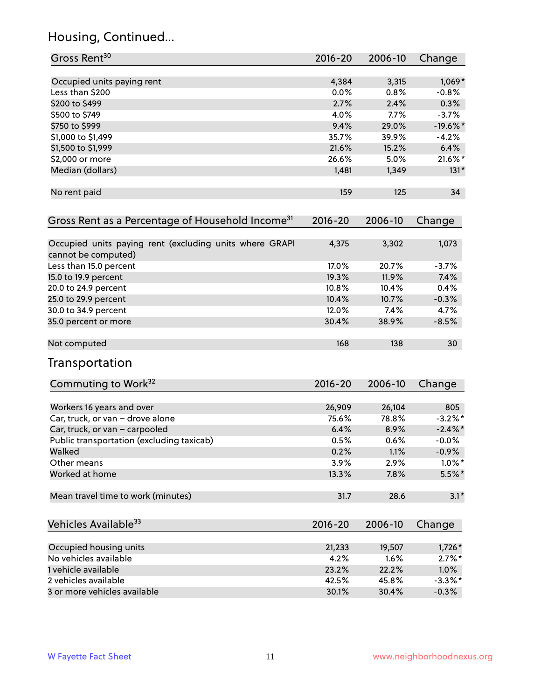## Housing, Continued...

| Occupied units paying rent<br>4,384<br>3,315<br>$1,069*$<br>0.0%<br>Less than \$200<br>0.8%<br>$-0.8%$<br>\$200 to \$499<br>2.7%<br>2.4%<br>0.3%<br>4.0%<br>\$500 to \$749<br>7.7%<br>$-3.7%$<br>9.4%<br>29.0%<br>$-19.6%$ *<br>\$750 to \$999<br>\$1,000 to \$1,499<br>35.7%<br>39.9%<br>$-4.2%$<br>21.6%<br>6.4%<br>\$1,500 to \$1,999<br>15.2%<br>26.6%<br>21.6%*<br>\$2,000 or more<br>5.0%<br>Median (dollars)<br>1,481<br>1,349<br>$131*$<br>No rent paid<br>159<br>125<br>34<br>Gross Rent as a Percentage of Household Income <sup>31</sup><br>2006-10<br>$2016 - 20$<br>Change<br>Occupied units paying rent (excluding units where GRAPI<br>4,375<br>3,302<br>1,073<br>cannot be computed)<br>17.0%<br>Less than 15.0 percent<br>20.7%<br>$-3.7%$<br>11.9%<br>15.0 to 19.9 percent<br>19.3%<br>7.4%<br>10.4%<br>20.0 to 24.9 percent<br>10.8%<br>0.4%<br>25.0 to 29.9 percent<br>10.4%<br>10.7%<br>$-0.3%$<br>7.4%<br>30.0 to 34.9 percent<br>12.0%<br>4.7%<br>35.0 percent or more<br>30.4%<br>38.9%<br>$-8.5%$<br>168<br>Not computed<br>138<br>30 <sub>o</sub><br>Transportation<br>Commuting to Work <sup>32</sup><br>2016-20<br>2006-10<br>Change<br>26,909<br>26,104<br>Workers 16 years and over<br>805<br>$-3.2\%$ *<br>Car, truck, or van - drove alone<br>75.6%<br>78.8%<br>$-2.4\%$ *<br>Car, truck, or van - carpooled<br>6.4%<br>8.9%<br>Public transportation (excluding taxicab)<br>0.5%<br>0.6%<br>$-0.0%$<br>Walked<br>$-0.9%$<br>0.2%<br>1.1%<br>3.9%<br>$1.0\%$ *<br>Other means<br>2.9%<br>Worked at home<br>13.3%<br>7.8%<br>Mean travel time to work (minutes)<br>31.7<br>28.6<br>Vehicles Available <sup>33</sup><br>$2016 - 20$<br>2006-10<br>Change<br>Occupied housing units<br>$1,726*$<br>21,233<br>19,507<br>No vehicles available<br>1.6%<br>$2.7\%$ *<br>4.2%<br>1 vehicle available<br>22.2%<br>$1.0\%$<br>23.2%<br>2 vehicles available<br>42.5%<br>45.8%<br>$-3.3\%$ *<br>3 or more vehicles available<br>30.1%<br>30.4%<br>$-0.3%$ | Gross Rent <sup>30</sup> | 2016-20 | 2006-10 | Change |
|---------------------------------------------------------------------------------------------------------------------------------------------------------------------------------------------------------------------------------------------------------------------------------------------------------------------------------------------------------------------------------------------------------------------------------------------------------------------------------------------------------------------------------------------------------------------------------------------------------------------------------------------------------------------------------------------------------------------------------------------------------------------------------------------------------------------------------------------------------------------------------------------------------------------------------------------------------------------------------------------------------------------------------------------------------------------------------------------------------------------------------------------------------------------------------------------------------------------------------------------------------------------------------------------------------------------------------------------------------------------------------------------------------------------------------------------------------------------------------------------------------------------------------------------------------------------------------------------------------------------------------------------------------------------------------------------------------------------------------------------------------------------------------------------------------------------------------------------------------------------------------------------------------------------------------------------------------------------------------|--------------------------|---------|---------|--------|
|                                                                                                                                                                                                                                                                                                                                                                                                                                                                                                                                                                                                                                                                                                                                                                                                                                                                                                                                                                                                                                                                                                                                                                                                                                                                                                                                                                                                                                                                                                                                                                                                                                                                                                                                                                                                                                                                                                                                                                                 |                          |         |         |        |
|                                                                                                                                                                                                                                                                                                                                                                                                                                                                                                                                                                                                                                                                                                                                                                                                                                                                                                                                                                                                                                                                                                                                                                                                                                                                                                                                                                                                                                                                                                                                                                                                                                                                                                                                                                                                                                                                                                                                                                                 |                          |         |         |        |
|                                                                                                                                                                                                                                                                                                                                                                                                                                                                                                                                                                                                                                                                                                                                                                                                                                                                                                                                                                                                                                                                                                                                                                                                                                                                                                                                                                                                                                                                                                                                                                                                                                                                                                                                                                                                                                                                                                                                                                                 |                          |         |         |        |
|                                                                                                                                                                                                                                                                                                                                                                                                                                                                                                                                                                                                                                                                                                                                                                                                                                                                                                                                                                                                                                                                                                                                                                                                                                                                                                                                                                                                                                                                                                                                                                                                                                                                                                                                                                                                                                                                                                                                                                                 |                          |         |         |        |
|                                                                                                                                                                                                                                                                                                                                                                                                                                                                                                                                                                                                                                                                                                                                                                                                                                                                                                                                                                                                                                                                                                                                                                                                                                                                                                                                                                                                                                                                                                                                                                                                                                                                                                                                                                                                                                                                                                                                                                                 |                          |         |         |        |
|                                                                                                                                                                                                                                                                                                                                                                                                                                                                                                                                                                                                                                                                                                                                                                                                                                                                                                                                                                                                                                                                                                                                                                                                                                                                                                                                                                                                                                                                                                                                                                                                                                                                                                                                                                                                                                                                                                                                                                                 |                          |         |         |        |
|                                                                                                                                                                                                                                                                                                                                                                                                                                                                                                                                                                                                                                                                                                                                                                                                                                                                                                                                                                                                                                                                                                                                                                                                                                                                                                                                                                                                                                                                                                                                                                                                                                                                                                                                                                                                                                                                                                                                                                                 |                          |         |         |        |
|                                                                                                                                                                                                                                                                                                                                                                                                                                                                                                                                                                                                                                                                                                                                                                                                                                                                                                                                                                                                                                                                                                                                                                                                                                                                                                                                                                                                                                                                                                                                                                                                                                                                                                                                                                                                                                                                                                                                                                                 |                          |         |         |        |
|                                                                                                                                                                                                                                                                                                                                                                                                                                                                                                                                                                                                                                                                                                                                                                                                                                                                                                                                                                                                                                                                                                                                                                                                                                                                                                                                                                                                                                                                                                                                                                                                                                                                                                                                                                                                                                                                                                                                                                                 |                          |         |         |        |
|                                                                                                                                                                                                                                                                                                                                                                                                                                                                                                                                                                                                                                                                                                                                                                                                                                                                                                                                                                                                                                                                                                                                                                                                                                                                                                                                                                                                                                                                                                                                                                                                                                                                                                                                                                                                                                                                                                                                                                                 |                          |         |         |        |
|                                                                                                                                                                                                                                                                                                                                                                                                                                                                                                                                                                                                                                                                                                                                                                                                                                                                                                                                                                                                                                                                                                                                                                                                                                                                                                                                                                                                                                                                                                                                                                                                                                                                                                                                                                                                                                                                                                                                                                                 |                          |         |         |        |
|                                                                                                                                                                                                                                                                                                                                                                                                                                                                                                                                                                                                                                                                                                                                                                                                                                                                                                                                                                                                                                                                                                                                                                                                                                                                                                                                                                                                                                                                                                                                                                                                                                                                                                                                                                                                                                                                                                                                                                                 |                          |         |         |        |
|                                                                                                                                                                                                                                                                                                                                                                                                                                                                                                                                                                                                                                                                                                                                                                                                                                                                                                                                                                                                                                                                                                                                                                                                                                                                                                                                                                                                                                                                                                                                                                                                                                                                                                                                                                                                                                                                                                                                                                                 |                          |         |         |        |
|                                                                                                                                                                                                                                                                                                                                                                                                                                                                                                                                                                                                                                                                                                                                                                                                                                                                                                                                                                                                                                                                                                                                                                                                                                                                                                                                                                                                                                                                                                                                                                                                                                                                                                                                                                                                                                                                                                                                                                                 |                          |         |         |        |
|                                                                                                                                                                                                                                                                                                                                                                                                                                                                                                                                                                                                                                                                                                                                                                                                                                                                                                                                                                                                                                                                                                                                                                                                                                                                                                                                                                                                                                                                                                                                                                                                                                                                                                                                                                                                                                                                                                                                                                                 |                          |         |         |        |
|                                                                                                                                                                                                                                                                                                                                                                                                                                                                                                                                                                                                                                                                                                                                                                                                                                                                                                                                                                                                                                                                                                                                                                                                                                                                                                                                                                                                                                                                                                                                                                                                                                                                                                                                                                                                                                                                                                                                                                                 |                          |         |         |        |
|                                                                                                                                                                                                                                                                                                                                                                                                                                                                                                                                                                                                                                                                                                                                                                                                                                                                                                                                                                                                                                                                                                                                                                                                                                                                                                                                                                                                                                                                                                                                                                                                                                                                                                                                                                                                                                                                                                                                                                                 |                          |         |         |        |
|                                                                                                                                                                                                                                                                                                                                                                                                                                                                                                                                                                                                                                                                                                                                                                                                                                                                                                                                                                                                                                                                                                                                                                                                                                                                                                                                                                                                                                                                                                                                                                                                                                                                                                                                                                                                                                                                                                                                                                                 |                          |         |         |        |
|                                                                                                                                                                                                                                                                                                                                                                                                                                                                                                                                                                                                                                                                                                                                                                                                                                                                                                                                                                                                                                                                                                                                                                                                                                                                                                                                                                                                                                                                                                                                                                                                                                                                                                                                                                                                                                                                                                                                                                                 |                          |         |         |        |
|                                                                                                                                                                                                                                                                                                                                                                                                                                                                                                                                                                                                                                                                                                                                                                                                                                                                                                                                                                                                                                                                                                                                                                                                                                                                                                                                                                                                                                                                                                                                                                                                                                                                                                                                                                                                                                                                                                                                                                                 |                          |         |         |        |
|                                                                                                                                                                                                                                                                                                                                                                                                                                                                                                                                                                                                                                                                                                                                                                                                                                                                                                                                                                                                                                                                                                                                                                                                                                                                                                                                                                                                                                                                                                                                                                                                                                                                                                                                                                                                                                                                                                                                                                                 |                          |         |         |        |
|                                                                                                                                                                                                                                                                                                                                                                                                                                                                                                                                                                                                                                                                                                                                                                                                                                                                                                                                                                                                                                                                                                                                                                                                                                                                                                                                                                                                                                                                                                                                                                                                                                                                                                                                                                                                                                                                                                                                                                                 |                          |         |         |        |
|                                                                                                                                                                                                                                                                                                                                                                                                                                                                                                                                                                                                                                                                                                                                                                                                                                                                                                                                                                                                                                                                                                                                                                                                                                                                                                                                                                                                                                                                                                                                                                                                                                                                                                                                                                                                                                                                                                                                                                                 |                          |         |         |        |
|                                                                                                                                                                                                                                                                                                                                                                                                                                                                                                                                                                                                                                                                                                                                                                                                                                                                                                                                                                                                                                                                                                                                                                                                                                                                                                                                                                                                                                                                                                                                                                                                                                                                                                                                                                                                                                                                                                                                                                                 |                          |         |         |        |
|                                                                                                                                                                                                                                                                                                                                                                                                                                                                                                                                                                                                                                                                                                                                                                                                                                                                                                                                                                                                                                                                                                                                                                                                                                                                                                                                                                                                                                                                                                                                                                                                                                                                                                                                                                                                                                                                                                                                                                                 |                          |         |         |        |
|                                                                                                                                                                                                                                                                                                                                                                                                                                                                                                                                                                                                                                                                                                                                                                                                                                                                                                                                                                                                                                                                                                                                                                                                                                                                                                                                                                                                                                                                                                                                                                                                                                                                                                                                                                                                                                                                                                                                                                                 |                          |         |         |        |
|                                                                                                                                                                                                                                                                                                                                                                                                                                                                                                                                                                                                                                                                                                                                                                                                                                                                                                                                                                                                                                                                                                                                                                                                                                                                                                                                                                                                                                                                                                                                                                                                                                                                                                                                                                                                                                                                                                                                                                                 |                          |         |         |        |
|                                                                                                                                                                                                                                                                                                                                                                                                                                                                                                                                                                                                                                                                                                                                                                                                                                                                                                                                                                                                                                                                                                                                                                                                                                                                                                                                                                                                                                                                                                                                                                                                                                                                                                                                                                                                                                                                                                                                                                                 |                          |         |         |        |
|                                                                                                                                                                                                                                                                                                                                                                                                                                                                                                                                                                                                                                                                                                                                                                                                                                                                                                                                                                                                                                                                                                                                                                                                                                                                                                                                                                                                                                                                                                                                                                                                                                                                                                                                                                                                                                                                                                                                                                                 |                          |         |         | 5.5%*  |
|                                                                                                                                                                                                                                                                                                                                                                                                                                                                                                                                                                                                                                                                                                                                                                                                                                                                                                                                                                                                                                                                                                                                                                                                                                                                                                                                                                                                                                                                                                                                                                                                                                                                                                                                                                                                                                                                                                                                                                                 |                          |         |         | $3.1*$ |
|                                                                                                                                                                                                                                                                                                                                                                                                                                                                                                                                                                                                                                                                                                                                                                                                                                                                                                                                                                                                                                                                                                                                                                                                                                                                                                                                                                                                                                                                                                                                                                                                                                                                                                                                                                                                                                                                                                                                                                                 |                          |         |         |        |
|                                                                                                                                                                                                                                                                                                                                                                                                                                                                                                                                                                                                                                                                                                                                                                                                                                                                                                                                                                                                                                                                                                                                                                                                                                                                                                                                                                                                                                                                                                                                                                                                                                                                                                                                                                                                                                                                                                                                                                                 |                          |         |         |        |
|                                                                                                                                                                                                                                                                                                                                                                                                                                                                                                                                                                                                                                                                                                                                                                                                                                                                                                                                                                                                                                                                                                                                                                                                                                                                                                                                                                                                                                                                                                                                                                                                                                                                                                                                                                                                                                                                                                                                                                                 |                          |         |         |        |
|                                                                                                                                                                                                                                                                                                                                                                                                                                                                                                                                                                                                                                                                                                                                                                                                                                                                                                                                                                                                                                                                                                                                                                                                                                                                                                                                                                                                                                                                                                                                                                                                                                                                                                                                                                                                                                                                                                                                                                                 |                          |         |         |        |
|                                                                                                                                                                                                                                                                                                                                                                                                                                                                                                                                                                                                                                                                                                                                                                                                                                                                                                                                                                                                                                                                                                                                                                                                                                                                                                                                                                                                                                                                                                                                                                                                                                                                                                                                                                                                                                                                                                                                                                                 |                          |         |         |        |
|                                                                                                                                                                                                                                                                                                                                                                                                                                                                                                                                                                                                                                                                                                                                                                                                                                                                                                                                                                                                                                                                                                                                                                                                                                                                                                                                                                                                                                                                                                                                                                                                                                                                                                                                                                                                                                                                                                                                                                                 |                          |         |         |        |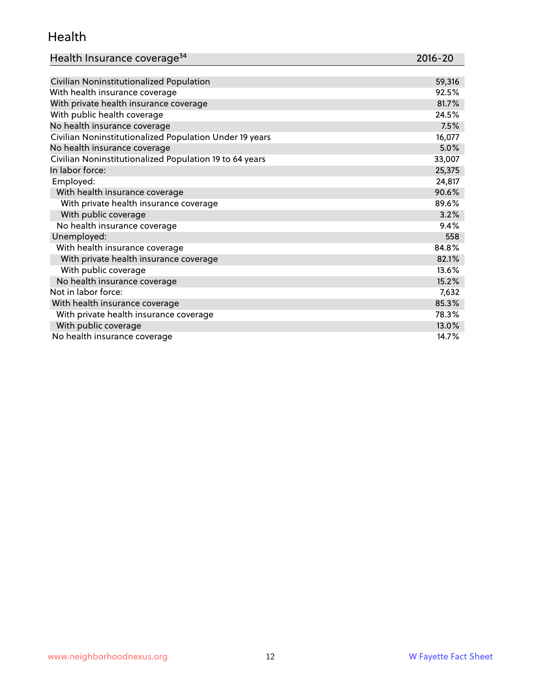#### Health

| Health Insurance coverage <sup>34</sup>                 | 2016-20 |
|---------------------------------------------------------|---------|
|                                                         |         |
| Civilian Noninstitutionalized Population                | 59,316  |
| With health insurance coverage                          | 92.5%   |
| With private health insurance coverage                  | 81.7%   |
| With public health coverage                             | 24.5%   |
| No health insurance coverage                            | 7.5%    |
| Civilian Noninstitutionalized Population Under 19 years | 16,077  |
| No health insurance coverage                            | 5.0%    |
| Civilian Noninstitutionalized Population 19 to 64 years | 33,007  |
| In labor force:                                         | 25,375  |
| Employed:                                               | 24,817  |
| With health insurance coverage                          | 90.6%   |
| With private health insurance coverage                  | 89.6%   |
| With public coverage                                    | 3.2%    |
| No health insurance coverage                            | 9.4%    |
| Unemployed:                                             | 558     |
| With health insurance coverage                          | 84.8%   |
| With private health insurance coverage                  | 82.1%   |
| With public coverage                                    | 13.6%   |
| No health insurance coverage                            | 15.2%   |
| Not in labor force:                                     | 7,632   |
| With health insurance coverage                          | 85.3%   |
| With private health insurance coverage                  | 78.3%   |
| With public coverage                                    | 13.0%   |
| No health insurance coverage                            | 14.7%   |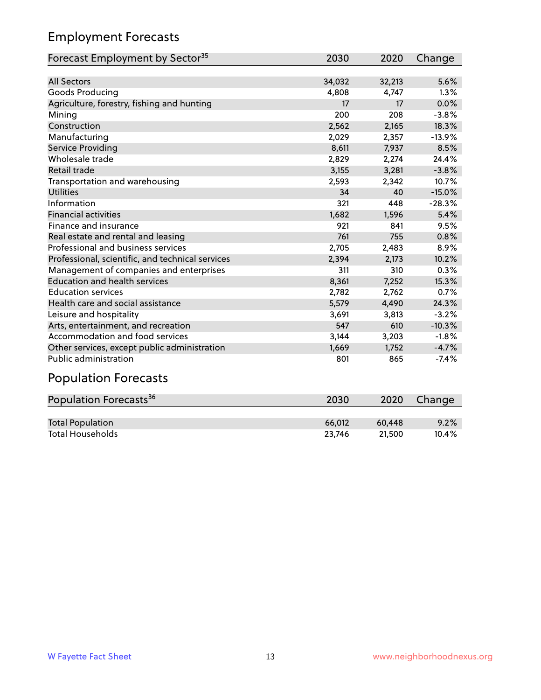## Employment Forecasts

| Forecast Employment by Sector <sup>35</sup>      | 2030   | 2020   | Change   |
|--------------------------------------------------|--------|--------|----------|
|                                                  |        |        |          |
| <b>All Sectors</b>                               | 34,032 | 32,213 | 5.6%     |
| Goods Producing                                  | 4,808  | 4,747  | 1.3%     |
| Agriculture, forestry, fishing and hunting       | 17     | 17     | 0.0%     |
| Mining                                           | 200    | 208    | $-3.8%$  |
| Construction                                     | 2,562  | 2,165  | 18.3%    |
| Manufacturing                                    | 2,029  | 2,357  | $-13.9%$ |
| Service Providing                                | 8,611  | 7,937  | 8.5%     |
| Wholesale trade                                  | 2,829  | 2,274  | 24.4%    |
| Retail trade                                     | 3,155  | 3,281  | $-3.8%$  |
| Transportation and warehousing                   | 2,593  | 2,342  | 10.7%    |
| <b>Utilities</b>                                 | 34     | 40     | $-15.0%$ |
| Information                                      | 321    | 448    | $-28.3%$ |
| <b>Financial activities</b>                      | 1,682  | 1,596  | 5.4%     |
| Finance and insurance                            | 921    | 841    | 9.5%     |
| Real estate and rental and leasing               | 761    | 755    | 0.8%     |
| Professional and business services               | 2,705  | 2,483  | 8.9%     |
| Professional, scientific, and technical services | 2,394  | 2,173  | 10.2%    |
| Management of companies and enterprises          | 311    | 310    | 0.3%     |
| <b>Education and health services</b>             | 8,361  | 7,252  | 15.3%    |
| <b>Education services</b>                        | 2,782  | 2,762  | 0.7%     |
| Health care and social assistance                | 5,579  | 4,490  | 24.3%    |
| Leisure and hospitality                          | 3,691  | 3,813  | $-3.2%$  |
| Arts, entertainment, and recreation              | 547    | 610    | $-10.3%$ |
| Accommodation and food services                  | 3,144  | 3,203  | $-1.8%$  |
| Other services, except public administration     | 1,669  | 1,752  | $-4.7%$  |
| Public administration                            | 801    | 865    | $-7.4%$  |
| Demoletten Fenedes                               |        |        |          |

#### Population Forecasts

| Population Forecasts <sup>36</sup> | 2030   | 2020   | Change |
|------------------------------------|--------|--------|--------|
|                                    |        |        |        |
| <b>Total Population</b>            | 66.012 | 60.448 | 9.2%   |
| <b>Total Households</b>            | 23.746 | 21.500 | 10.4%  |